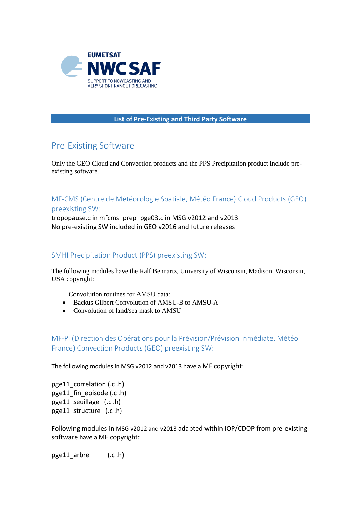

## **List of Pre-Existing and Third Party Software**

## Pre-Existing Software

Only the GEO Cloud and Convection products and the PPS Precipitation product include preexisting software.

MF-CMS (Centre de Météorologie Spatiale, Météo France) Cloud Products (GEO) preexisting SW:

tropopause.c in mfcms\_prep\_pge03.c in MSG v2012 and v2013 No pre-existing SW included in GEO v2016 and future releases

## SMHI Precipitation Product (PPS) preexisting SW:

The following modules have the Ralf Bennartz, University of Wisconsin, Madison, Wisconsin, USA copyright:

Convolution routines for AMSU data:

- Backus Gilbert Convolution of AMSU-B to AMSU-A
- Convolution of land/sea mask to AMSU

MF-PI (Direction des Opérations pour la Prévision/Prévision Inmédiate, Météo France) Convection Products (GEO) preexisting SW:

The following modules in MSG v2012 and v2013 have a MF copyright:

pge11 correlation (.c .h) pge11 fin episode (.c .h) pge11 seuillage (.c .h) pge11 structure (.c .h)

Following modules in MSG v2012 and v2013 adapted within IOP/CDOP from pre-existing software have a MF copyright:

pge11\_arbre (.c .h)